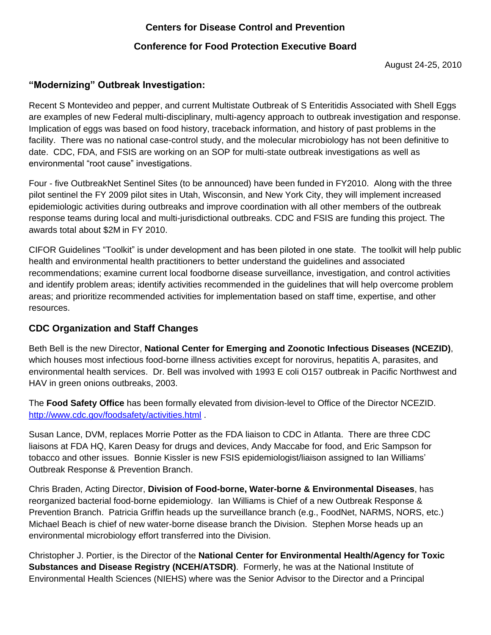## **Centers for Disease Control and Prevention**

## **Conference for Food Protection Executive Board**

August 24-25, 2010

## **"Modernizing" Outbreak Investigation:**

Recent S Montevideo and pepper, and current Multistate Outbreak of S Enteritidis Associated with Shell Eggs are examples of new Federal multi-disciplinary, multi-agency approach to outbreak investigation and response. Implication of eggs was based on food history, traceback information, and history of past problems in the facility. There was no national case-control study, and the molecular microbiology has not been definitive to date. CDC, FDA, and FSIS are working on an SOP for multi-state outbreak investigations as well as environmental "root cause" investigations.

Four - five OutbreakNet Sentinel Sites (to be announced) have been funded in FY2010. Along with the three pilot sentinel the FY 2009 pilot sites in Utah, Wisconsin, and New York City, they will implement increased epidemiologic activities during outbreaks and improve coordination with all other members of the outbreak response teams during local and multi-jurisdictional outbreaks. CDC and FSIS are funding this project. The awards total about \$2M in FY 2010.

CIFOR Guidelines "Toolkit" is under development and has been piloted in one state. The toolkit will help public health and environmental health practitioners to better understand the guidelines and associated recommendations; examine current local foodborne disease surveillance, investigation, and control activities and identify problem areas; identify activities recommended in the guidelines that will help overcome problem areas; and prioritize recommended activities for implementation based on staff time, expertise, and other resources.

#### **CDC Organization and Staff Changes**

Beth Bell is the new Director, **National Center for Emerging and Zoonotic Infectious Diseases (NCEZID)**, which houses most infectious food-borne illness activities except for norovirus, hepatitis A, parasites, and environmental health services. Dr. Bell was involved with 1993 E coli O157 outbreak in Pacific Northwest and HAV in green onions outbreaks, 2003.

The **Food Safety Office** has been formally elevated from division-level to Office of the Director NCEZID. <http://www.cdc.gov/foodsafety/activities.html> .

Susan Lance, DVM, replaces Morrie Potter as the FDA liaison to CDC in Atlanta. There are three CDC liaisons at FDA HQ, Karen Deasy for drugs and devices, Andy Maccabe for food, and Eric Sampson for tobacco and other issues. Bonnie Kissler is new FSIS epidemiologist/liaison assigned to Ian Williams' Outbreak Response & Prevention Branch.

Chris Braden, Acting Director, **Division of Food-borne, Water-borne & Environmental Diseases**, has reorganized bacterial food-borne epidemiology. Ian Williams is Chief of a new Outbreak Response & Prevention Branch. Patricia Griffin heads up the surveillance branch (e.g., FoodNet, NARMS, NORS, etc.) Michael Beach is chief of new water-borne disease branch the Division. Stephen Morse heads up an environmental microbiology effort transferred into the Division.

Christopher J. Portier, is the Director of the **National Center for Environmental Health/Agency for Toxic Substances and Disease Registry (NCEH/ATSDR)**. Formerly, he was at the National Institute of Environmental Health Sciences (NIEHS) where was the Senior Advisor to the Director and a Principal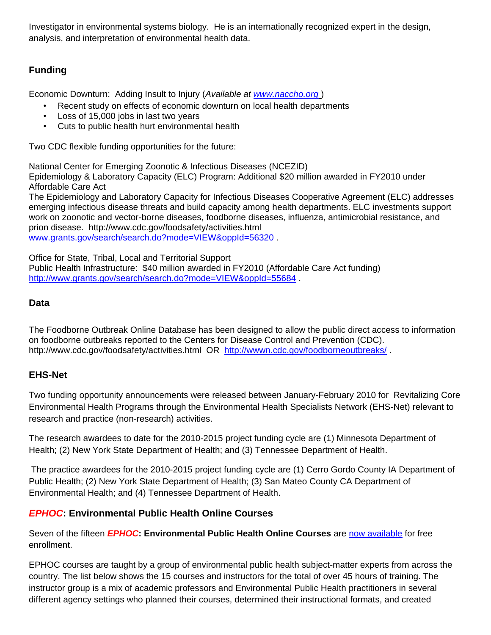Investigator in environmental systems biology. He is an internationally recognized expert in the design, analysis, and interpretation of environmental health data.

# **Funding**

Economic Downturn: Adding Insult to Injury (*Available at [www.naccho.org](http://www.naccho.org/)* )

- Recent study on effects of economic downturn on local health departments
- Loss of 15,000 jobs in last two years
- Cuts to public health hurt environmental health

Two CDC flexible funding opportunities for the future:

National Center for Emerging Zoonotic & Infectious Diseases (NCEZID) Epidemiology & Laboratory Capacity (ELC) Program: Additional \$20 million awarded in FY2010 under Affordable Care Act

The Epidemiology and Laboratory Capacity for Infectious Diseases Cooperative Agreement (ELC) addresses emerging infectious disease threats and build capacity among health departments. ELC investments support work on zoonotic and vector-borne diseases, foodborne diseases, influenza, antimicrobial resistance, and prion disease. http://www.cdc.gov/foodsafety/activities.html [www.grants.gov/search/search.do?mode=VIEW&oppId=56320](http://www.grants.gov/search/search.do?mode=VIEW&oppId=56320) .

Office for State, Tribal, Local and Territorial Support Public Health Infrastructure: \$40 million awarded in FY2010 (Affordable Care Act funding) <http://www.grants.gov/search/search.do?mode=VIEW&oppId=55684>.

#### **Data**

The Foodborne Outbreak Online Database has been designed to allow the public direct access to information on foodborne outbreaks reported to the Centers for Disease Control and Prevention (CDC). http://www.cdc.gov/foodsafety/activities.html OR <http://wwwn.cdc.gov/foodborneoutbreaks/> .

## **EHS-Net**

Two funding opportunity announcements were released between January-February 2010 for Revitalizing Core Environmental Health Programs through the Environmental Health Specialists Network (EHS-Net) relevant to research and practice (non-research) activities.

The research awardees to date for the 2010-2015 project funding cycle are (1) Minnesota Department of Health; (2) New York State Department of Health; and (3) Tennessee Department of Health.

The practice awardees for the 2010-2015 project funding cycle are (1) Cerro Gordo County IA Department of Public Health; (2) New York State Department of Health; (3) San Mateo County CA Department of Environmental Health; and (4) Tennessee Department of Health.

## *EPHOC***: Environmental Public Health Online Courses**

Seven of the fifteen *EPHOC***: Environmental Public Health Online Courses** are [now available](http://www.cdc.gov/nceh/ehs/Workforce_Development/EPHOC.htm) for free enrollment.

EPHOC courses are taught by a group of environmental public health subject-matter experts from across the country. The list below shows the 15 courses and instructors for the total of over 45 hours of training. The instructor group is a mix of academic professors and Environmental Public Health practitioners in several different agency settings who planned their courses, determined their instructional formats, and created